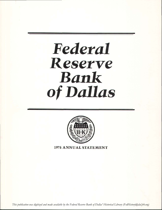# Federal Resetve Bank of Dallas



**1975 ANNUAL STATEMENT** 

*This publication was digitized and made available by the Federal Reserve Bank of Dallas' Historical Library (FedHistory@dal.frb.org)*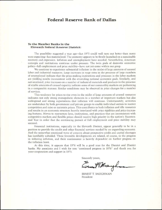### Federal Reserve Bank of Dallas

#### To the Member Banks in the Eleventh Federal Reserve District:

The possibility suggested a year ago-that 1975 could well turn out better than many were expecting-has materialized. The economy appears to be firmly launched on a sustainable recovery and expansion. Inflation and unemployment have receded. Nevertheless, American concepts and institutions continue under pressure. The twin goals of domestic economic policy-full employment and price stability-have not yet come within our grasp.

We continue to experience substantial inflation in the midst of large amounts of unused labor and industrial resources. Large increases in wage rates in the presence of large numbers of unemployed indicate that the price-making institutions and processes in the labor markets are yielding results inconsistent with the overriding national economic goals. Similarly, and not unrelated, price increases on a number of industrial materials and products in the presence of sizable amounts of unused capacity indicate some of our commodity markets are performing in a comparable manner. Similar conditions may be observed in price changes for a number of services.

This tendency for prices to rise even in the midst of large amounts of unused resources indicates not only strong monopolistic elements in a number of important markets but also widespread and strong expectations that inflation will continue. Unfortunately, activities are undertaken by both government and private groups to enable individual sectors to restrict competition and raise or maintain prices. This contributes to both inflation and idle resources and results in an economic structure heavily interlaced with price rigidities and price-increasing features. Moves to restructure laws, institutions, and practices that are inconsistent with competitive markets and flexible prices should receive high priority in the nation's Bicentennial Year in order that the continuing pursuit of full employment and price stability may succeed.

Financial institutions, especially in the Eleventh District, appear generally to be in a position to provide the credit and other financial services needed by an expanding economy. And the somewhat emotional wave of concern about prospective credit and capital shortages has justifiably subsided. These favorable developments are related, of course, to the progress in reducing inflation, and their continuance is heavily dependent on further progress on the inflation front.

At this time, it appears that 1976 will be a good year for the District and District banks. My associates and I wish for you "continued progress in 1976" and thank you for your cooperation and support in I975.

Sincerely yours,

Enalthaughna

ERNEST T. BAUCHMAN President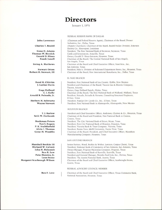### **Directors**

January 1, 1976

#### FEDERAL RESERVE BANK OF DALLAS

(Chairman and Federal Reserve Agent), Chairman of the Board, Dresser Industries, Inc., Dallas, Texas (Deputy Chairman), Chairman of the Board, Beaird-Poulan Division, Emerson Electric Co., Shreveport, Louisiana President, The First National Bank of Seymour, Seymour, Texas Cattle and Investments, Amarillo, Texas Owner, Gerald D. Hines Interests, Houston, Texas Chairman of the Board, The Central National Bank of San Angelo, San Angelo, Texas Chairman of the Board and Chief Executive Officer, Frost Bros., Inc., San Antonio, Texas President, Foley's, Division of Federated Department Stores, Inc., Houston, Texas Chairman of the Board, First International Bancshares, Inc., Dallas, Texas

#### EL PASO BRANCH

President, First National Bank of Lea County, Hobbs, New Mexico President and Chairman of the Board, Tucson Gas & Electric Company, Tucson, Arizona Owner, Gage Holland Ranch, Alpine, Texas Chairman of the Board, The First National Bank of Midland, Midland, Texas President, Peinado, Peinado & Navarro, Consulting Structural Engineers, El Paso, Texas President, Popular Dry Goods Co., Inc., El Paso, Texas President, First National Bank in Alamogordo, Alamogordo, New Mexico

#### **HOUSTON BRANCH**

President and Chief Executive Officer, Anderson, Clayton & Co., Houston, Texas Chairman of the Board and President, First National Bank in Conroe, Conroe, Texas President, The City National Bank of Bryan, Bryan, Texas President, First City National Bank of Houston, Houston, Texas President, Victoria Bank & Trust Company, Victoria, Texas President, Prairie View A&M University, Prairie View, Texas Chairman of the Board, President, and Chief Executive Officer, Marathon Manufacturing Company, Houston, Texas

#### SAN ANTONIO BRANCH

Senior Partner, Wood, Boykin & Wolter, Lawyers, Corpus Christi, Texas President, National Bank of Commerce of San Antonio, San Antonio, Texas Owner-Manager, Progreso Haciendas Company, Progreso, Texas President, First National Bank of Kerrville, Kerrville, Texas President and General Manager, Morales Feed Lots, Inc., Devine, Texas President, The Austin National Bank, Austin, Texas Chairman of the Board and Chief Executive Officer, Scarbroughs Stores, Austin, Texas

#### FEDERAL ADVISORY COUNCIL MEMBER

Chairman of the Board and Chief Executive Officer, Texas Commerce Bank, National Association, Houston, Texas

**John Lawrence** 

#### **Charles T. Beaird**

Gene D. Adams Thomas W. Herrick **Gerald D. Hines Frank Junell** 

Irving A. Mathews

**Stewart Orton** Robert H. Stewart, III

> Reed H. Chittim J. Luther Davis

**Gage Holland** C. J. Kelly Arnold B. Peinado, Jr.

Herbert M. Schwartz **Wayne Stewart** 

> T. J. Barlow Seth W. Dorbandt

**Bookman Peters** Nat S. Rogers P. K. Stubblefield Alvin I. Thomas Gene M. Woodfin

Marshall Boykin III Richard W. Calvert John H. Holcomb Ben R. Low Pete Morales, Jr. **Leon Stone** Margaret Scarbrough Wilson

**Ben F. Love**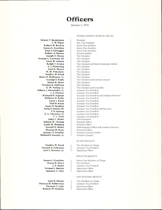### **Officers**

January 1, 1976

#### FEDERAL RESERVE BANK OF DALLAS

Ernest T. Baughman T. W. Plant Robert H. Boykin James L. Cauthen Tony J. Salvaggio Robert A. Brown **Joseph E. Burns** George C. Cochran, III Leon W. Cowan Ralph T. Green C. J. Pickering Carl H. Moore W. M. Pritchett Fredric W. Reed Harry E. Robinson, Jr. George F. Rudy **Rasco R. Story Thomas R. Sullivan** E. W. Vorlop, Jr. Sidney J. Alexander, Jr. J. A. Clymer Richard D. Ingram William H. Kelly Larry J. Reck Neil B. Ryan **Jesse D. Sanders** Robert Smith, III T. E. Spreng E. A. Thaxton, Jr. C. L. Vick John C. Blake **Adrian W. Throop** Carla M. Warberg Carroll D. Blake **Thomas H. Rust Sammy T. Schulze** Millard E. Sweatt, Jr.

> Fredric W. Reed Forrest E. Coleman Joel L. Koonce, Jr.

James L. Cauthen **Rasco R. Story** J.Z. Rowe Vernon L. Bartee Sammie C. Clay

Carl H. Moore **Thomas H. Robertson** Thomas C. Cole Robert W. Schultz

President First Vice President Senior Vice President Senior Vice President Senior Vice President General Auditor Vice President Vice President Vice President Vice President and Senior Economic Adviser Vice President Vice President Vice President Vice President Vice President Vice President and General Counsel Vice President Vice President Vice President and Controller Assistant Vice President Assistant Vice President Assistant Vice President and Assistant Secretary Assistant Vice President **Assistant Vice President** Assistant Vice President Assistant Vice President Assistant Vice President and Secretary Assistant Vice President Assistant Vice President Assistant Vice President Chief Examiner Research Officer Research Officer Bank Relations Officer and Assistant Secretary Personnel Officer Assistant General Auditor Assistant Counsel

#### EL PASO BRANCH

Vice President in Charge Assistant Vice President Operations Officer

#### HOUSTON BRANCH

Senior Vice President in Charge Vice President Assistant Vice President Operations Officer Operations Officer

#### SAN ANTONIO BRANCH

Vice President in Charge Assistant Vice President Operations Officer Operations Officer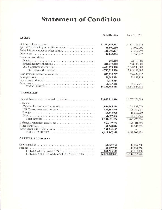## **Statement of Condition**

| <b>ASSETS</b>                                                                                                                                          | Dec. 31, 1975                                                             | Dec. 31, 1974                                                             |
|--------------------------------------------------------------------------------------------------------------------------------------------------------|---------------------------------------------------------------------------|---------------------------------------------------------------------------|
| Gold certificate account<br>Special Drawing Rights certificate account.<br>Federal Reserve notes of other Banks<br>Other cash<br>Loans and securities: | 422,062,397<br>S.<br>19,000,000<br>110,300,237<br>16,053,214              | S<br>571,896,174<br>14,000,000<br>91,552,993<br>11,290,277                |
| Federal agency obligations<br>U.S. Government securities<br>Total loans and securities                                                                 | 200,000<br>310,412,000<br>4,433,099,000<br>4,743,711,000                  | 23,100,000<br>213,143,000<br>3,628,948,000<br>3,865,191,000               |
|                                                                                                                                                        | 835,120,787<br>11,761,334<br>2,234,384<br>66,719,535<br>\$6,226,962,888   | 636,429,457<br>11,867,825<br>44,799,947<br>\$5,247,027,673                |
| <b>LIABILITIES</b>                                                                                                                                     |                                                                           |                                                                           |
| Federal Reserve notes in actual circulation.<br>Deposits:                                                                                              | \$3,009,711,816                                                           | \$2,707,174,505                                                           |
|                                                                                                                                                        | 1,666,305,414<br>389,303,570<br>14,443,000<br>61,759,282<br>2,131,811,266 | 1,744,688,075<br>105,184,903<br>15,950,000<br>29,973,726<br>1,895,796,704 |
| Interdistrict settlement account                                                                                                                       | 565,839,777<br>51,260,044<br>364,544,485<br>6,123,167,388                 | 498,101,362<br>47,636,602<br>5,148,709,173                                |
| <b>CAPITAL ACCOUNTS</b>                                                                                                                                |                                                                           |                                                                           |
| TOTAL CAPITAL ACCOUNTS<br>TOTAL LIABILITIES AND CAPITAL ACCOUNTS                                                                                       | 51,897,750<br>51,897,750<br>103,795,500<br>\$6,226,962,888                | 49,159,250<br>49,159,250<br>98,318,500<br>\$5,247,027,673                 |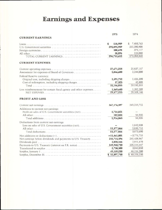# **Earnings and Expenses**

| 1975                                                                         | 1974                           |
|------------------------------------------------------------------------------|--------------------------------|
| <b>CURRENT EARNINGS</b>                                                      |                                |
| 518,909<br>S<br>295,895,909                                                  | 7,493,763<br>S.<br>265,390,908 |
| 300,698                                                                      | 375,117                        |
| 38,096                                                                       | 124,080                        |
| 296,753,612<br>TOTAL CURRENT EARNINGS                                        | 273,383,868                    |
| <b>CURRENT EXPENSES</b>                                                      |                                |
| 27,671,218                                                                   | 25,837,157                     |
| 1,846,600<br>Assessment for expenses of Board of Governors                   | 2,244,000                      |
| Federal Reserve currency:                                                    |                                |
| 1,591,712<br>Original cost, including shipping charges                       | 1,426,390                      |
| 37,325<br>Cost of redemption, including shipping charges                     | 42,808                         |
| 31,146,855<br>Total as a received a consequence of the contract consequences | 29,550,355                     |
| 1,569,640<br>Less reimbursement for certain fiscal agency and other expenses | 1,382,209                      |
| 29,577,215                                                                   | 28,168,146                     |
| <b>PROFIT AND LOSS</b>                                                       |                                |
| 267,176,397                                                                  | 245,215,722                    |
| Additions to current net earnings:                                           |                                |
| Profit on sales of U.S. Government securities (net)<br>1,734,021             |                                |
| 182,844                                                                      | 96,935                         |
| 1,916,865                                                                    | 96,935                         |
| Deductions from current net earnings:                                        |                                |
| Loss on sales of U.S. Government securities (net)                            | 1,842,938                      |
| 13,377,866                                                                   | 2,030,752                      |
| 13,377,866                                                                   | 3,873,690                      |
| $-11,461,001$                                                                | $-3,776,755$                   |
| 255,715,396<br>Net earnings before dividends and payments to U.S. Treasury   | 241,438,967                    |
| 3,028,166                                                                    | 2,851,470                      |
| 249,948,730<br>Payments to U.S. Treasury (interest on F.R. notes)            | 235,544,447                    |
| 2,738,500                                                                    | 3,043,050<br>46,116,200        |
| 49,159,250<br>\$51,897,750<br>Surplus, December 31.                          | \$49,159,250                   |